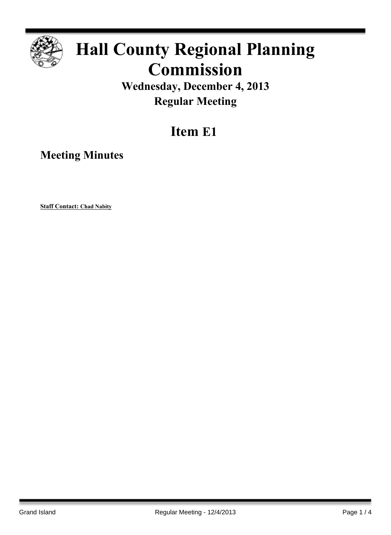

# **Hall County Regional Planning Commission**

**Wednesday, December 4, 2013 Regular Meeting**

# **Item E1**

**Meeting Minutes**

**Staff Contact: Chad Nabity**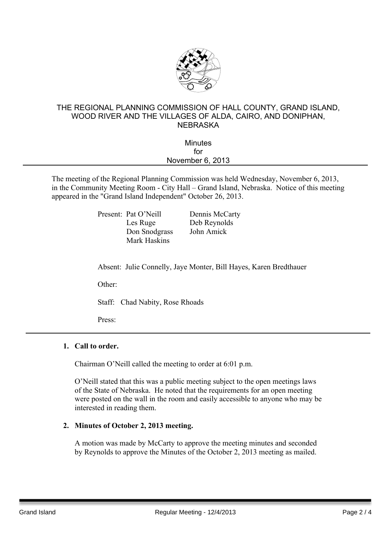

### THE REGIONAL PLANNING COMMISSION OF HALL COUNTY, GRAND ISLAND, WOOD RIVER AND THE VILLAGES OF ALDA, CAIRO, AND DONIPHAN, **NEBRASKA**

| <b>Minutes</b>   |  |
|------------------|--|
| for              |  |
| November 6, 2013 |  |
|                  |  |

The meeting of the Regional Planning Commission was held Wednesday, November 6, 2013, in the Community Meeting Room - City Hall – Grand Island, Nebraska. Notice of this meeting appeared in the "Grand Island Independent" October 26, 2013.

> Present: Pat O'Neill Dennis McCarty Les Ruge Deb Reynolds Don Snodgrass John Amick Mark Haskins

Absent: Julie Connelly, Jaye Monter, Bill Hayes, Karen Bredthauer

Other:

Staff: Chad Nabity, Rose Rhoads

Press:

#### **1. Call to order.**

Chairman O'Neill called the meeting to order at 6:01 p.m.

O'Neill stated that this was a public meeting subject to the open meetings laws of the State of Nebraska. He noted that the requirements for an open meeting were posted on the wall in the room and easily accessible to anyone who may be interested in reading them.

#### **2. Minutes of October 2, 2013 meeting.**

A motion was made by McCarty to approve the meeting minutes and seconded by Reynolds to approve the Minutes of the October 2, 2013 meeting as mailed.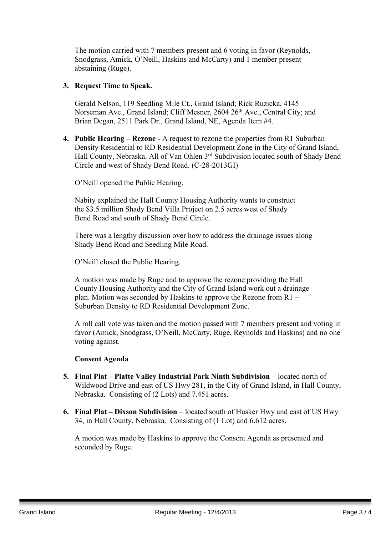The motion carried with 7 members present and 6 voting in favor (Reynolds, Snodgrass, Amick, O'Neill, Haskins and McCarty) and 1 member present abstaining (Ruge).

#### **3. Request Time to Speak.**

Gerald Nelson, 119 Seedling Mile Ct., Grand Island; Rick Ruzicka, 4145 Norseman Ave., Grand Island; Cliff Mesner, 2604 26<sup>th</sup> Ave., Central City; and Brian Degan, 2511 Park Dr., Grand Island, NE, Agenda Item #4.

**4. Public Hearing – Rezone -** A request to rezone the properties from R1 Suburban Density Residential to RD Residential Development Zone in the City of Grand Island, Hall County, Nebraska. All of Van Ohlen 3<sup>rd</sup> Subdivision located south of Shady Bend Circle and west of Shady Bend Road. (C-28-2013GI)

O'Neill opened the Public Hearing.

Nabity explained the Hall County Housing Authority wants to construct the \$3.5 million Shady Bend Villa Project on 2.5 acres west of Shady Bend Road and south of Shady Bend Circle.

There was a lengthy discussion over how to address the drainage issues along Shady Bend Road and Seedling Mile Road.

O'Neill closed the Public Hearing.

A motion was made by Ruge and to approve the rezone providing the Hall County Housing Authority and the City of Grand Island work out a drainage plan. Motion was seconded by Haskins to approve the Rezone from R1 – Suburban Density to RD Residential Development Zone.

A roll call vote was taken and the motion passed with 7 members present and voting in favor (Amick, Snodgrass, O'Neill, McCarty, Ruge, Reynolds and Haskins) and no one voting against.

#### **Consent Agenda**

- **5. Final Plat – Platte Valley Industrial Park Ninth Subdivision** located north of Wildwood Drive and east of US Hwy 281, in the City of Grand Island, in Hall County, Nebraska. Consisting of (2 Lots) and 7.451 acres.
- **6. Final Plat – Dixson Subdivision** located south of Husker Hwy and east of US Hwy 34, in Hall County, Nebraska. Consisting of (1 Lot) and 6.612 acres.

A motion was made by Haskins to approve the Consent Agenda as presented and seconded by Ruge.